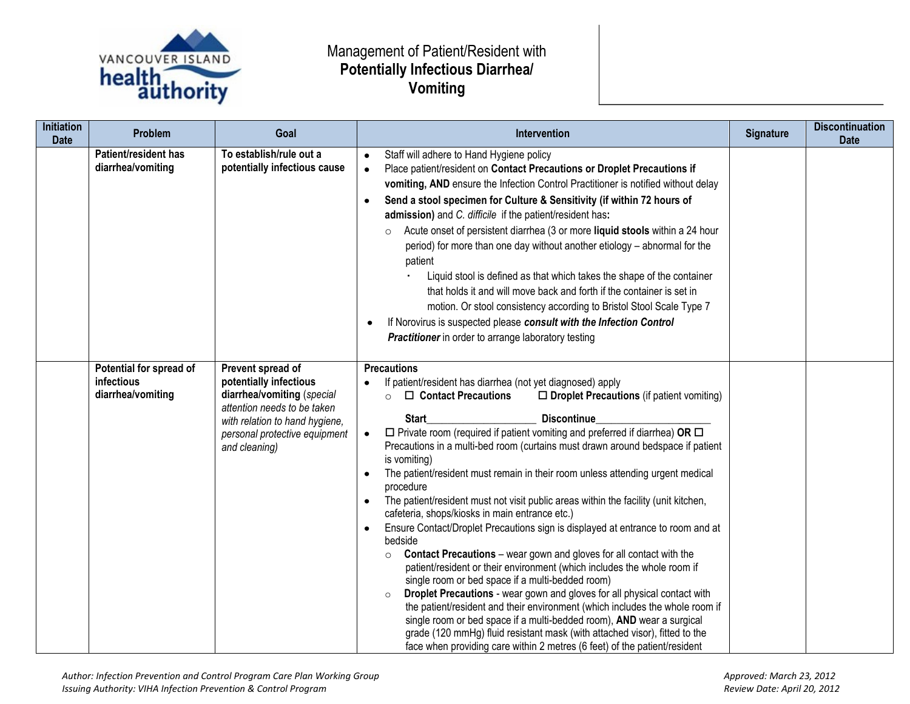

## Management of Patient/Resident with **Potentially Infectious Diarrhea/ Vomiting**

| <b>Initiation</b><br><b>Date</b> | Problem                                                    | Goal                                                                                                                                                                                         | Intervention                                                                                                                                                                                                                                                                                                                                                                                                                                                                                                                                                                                                                                                                                                                                                                                                                                                                                                                                                                                                                                                                                                                                                                                                                                                                                                                                                                                                      | Signature | <b>Discontinuation</b><br><b>Date</b> |
|----------------------------------|------------------------------------------------------------|----------------------------------------------------------------------------------------------------------------------------------------------------------------------------------------------|-------------------------------------------------------------------------------------------------------------------------------------------------------------------------------------------------------------------------------------------------------------------------------------------------------------------------------------------------------------------------------------------------------------------------------------------------------------------------------------------------------------------------------------------------------------------------------------------------------------------------------------------------------------------------------------------------------------------------------------------------------------------------------------------------------------------------------------------------------------------------------------------------------------------------------------------------------------------------------------------------------------------------------------------------------------------------------------------------------------------------------------------------------------------------------------------------------------------------------------------------------------------------------------------------------------------------------------------------------------------------------------------------------------------|-----------|---------------------------------------|
|                                  | Patient/resident has<br>diarrhea/vomiting                  | To establish/rule out a<br>potentially infectious cause                                                                                                                                      | Staff will adhere to Hand Hygiene policy<br>$\bullet$<br>Place patient/resident on Contact Precautions or Droplet Precautions if<br>vomiting, AND ensure the Infection Control Practitioner is notified without delay<br>Send a stool specimen for Culture & Sensitivity (if within 72 hours of<br>$\bullet$<br>admission) and C. difficile if the patient/resident has:<br>Acute onset of persistent diarrhea (3 or more liquid stools within a 24 hour<br>$\circ$<br>period) for more than one day without another etiology - abnormal for the<br>patient<br>Liquid stool is defined as that which takes the shape of the container<br>that holds it and will move back and forth if the container is set in<br>motion. Or stool consistency according to Bristol Stool Scale Type 7<br>If Norovirus is suspected please consult with the Infection Control<br><b>Practitioner</b> in order to arrange laboratory testing                                                                                                                                                                                                                                                                                                                                                                                                                                                                                       |           |                                       |
|                                  | Potential for spread of<br>infectious<br>diarrhea/vomiting | Prevent spread of<br>potentially infectious<br>diarrhea/vomiting (special<br>attention needs to be taken<br>with relation to hand hygiene,<br>personal protective equipment<br>and cleaning) | <b>Precautions</b><br>If patient/resident has diarrhea (not yet diagnosed) apply<br>$\square$ Droplet Precautions (if patient vomiting)<br>$\Box$ Contact Precautions<br><b>Discontinue</b><br>Start<br>$\Box$ Private room (required if patient vomiting and preferred if diarrhea) OR $\Box$<br>Precautions in a multi-bed room (curtains must drawn around bedspace if patient<br>is vomiting)<br>The patient/resident must remain in their room unless attending urgent medical<br>$\bullet$<br>procedure<br>The patient/resident must not visit public areas within the facility (unit kitchen,<br>$\bullet$<br>cafeteria, shops/kiosks in main entrance etc.)<br>Ensure Contact/Droplet Precautions sign is displayed at entrance to room and at<br>$\bullet$<br>bedside<br><b>Contact Precautions</b> – wear gown and gloves for all contact with the<br>$\circ$<br>patient/resident or their environment (which includes the whole room if<br>single room or bed space if a multi-bedded room)<br>Droplet Precautions - wear gown and gloves for all physical contact with<br>$\circ$<br>the patient/resident and their environment (which includes the whole room if<br>single room or bed space if a multi-bedded room), AND wear a surgical<br>grade (120 mmHg) fluid resistant mask (with attached visor), fitted to the<br>face when providing care within 2 metres (6 feet) of the patient/resident |           |                                       |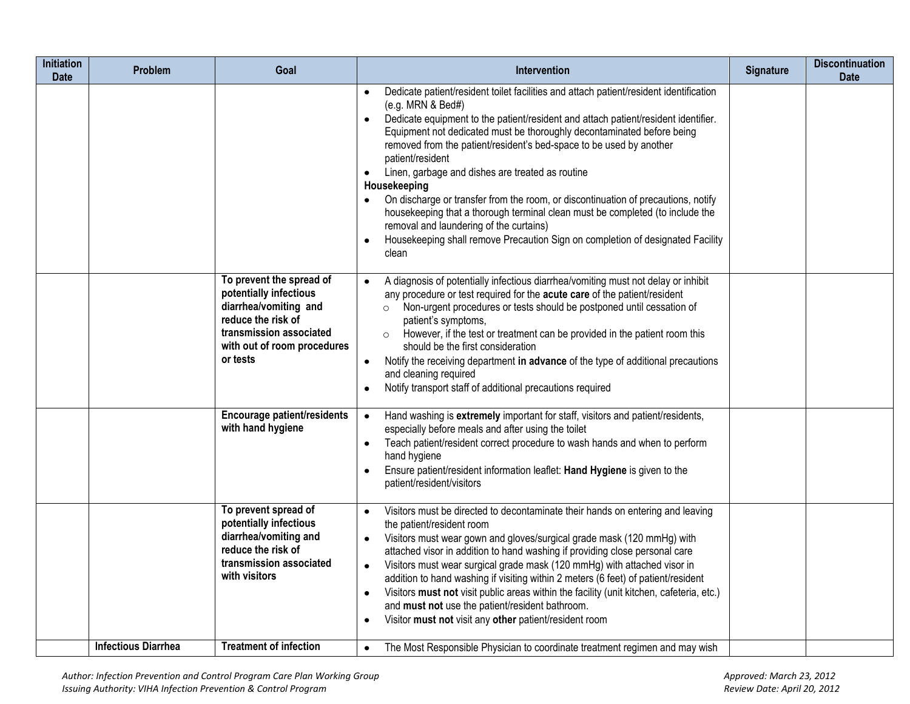| <b>Initiation</b><br><b>Date</b> | Problem                    | Goal                                                                                                                                                                    | Intervention                                                                                                                                                                                                                                                                                                                                                                                                                                                                                                                                                                                                                                                                                                                                                        | Signature | <b>Discontinuation</b><br><b>Date</b> |
|----------------------------------|----------------------------|-------------------------------------------------------------------------------------------------------------------------------------------------------------------------|---------------------------------------------------------------------------------------------------------------------------------------------------------------------------------------------------------------------------------------------------------------------------------------------------------------------------------------------------------------------------------------------------------------------------------------------------------------------------------------------------------------------------------------------------------------------------------------------------------------------------------------------------------------------------------------------------------------------------------------------------------------------|-----------|---------------------------------------|
|                                  |                            |                                                                                                                                                                         | Dedicate patient/resident toilet facilities and attach patient/resident identification<br>(e.g. MRN & Bed#)<br>Dedicate equipment to the patient/resident and attach patient/resident identifier.<br>Equipment not dedicated must be thoroughly decontaminated before being<br>removed from the patient/resident's bed-space to be used by another<br>patient/resident<br>Linen, garbage and dishes are treated as routine<br>$\bullet$<br>Housekeeping<br>On discharge or transfer from the room, or discontinuation of precautions, notify<br>housekeeping that a thorough terminal clean must be completed (to include the<br>removal and laundering of the curtains)<br>Housekeeping shall remove Precaution Sign on completion of designated Facility<br>clean |           |                                       |
|                                  |                            | To prevent the spread of<br>potentially infectious<br>diarrhea/vomiting and<br>reduce the risk of<br>transmission associated<br>with out of room procedures<br>or tests | A diagnosis of potentially infectious diarrhea/vomiting must not delay or inhibit<br>any procedure or test required for the acute care of the patient/resident<br>o Non-urgent procedures or tests should be postponed until cessation of<br>patient's symptoms,<br>However, if the test or treatment can be provided in the patient room this<br>$\circ$<br>should be the first consideration<br>Notify the receiving department in advance of the type of additional precautions<br>and cleaning required<br>Notify transport staff of additional precautions required<br>$\bullet$                                                                                                                                                                               |           |                                       |
|                                  |                            | Encourage patient/residents<br>with hand hygiene                                                                                                                        | Hand washing is extremely important for staff, visitors and patient/residents,<br>$\bullet$<br>especially before meals and after using the toilet<br>Teach patient/resident correct procedure to wash hands and when to perform<br>hand hygiene<br>Ensure patient/resident information leaflet: Hand Hygiene is given to the<br>patient/resident/visitors                                                                                                                                                                                                                                                                                                                                                                                                           |           |                                       |
|                                  |                            | To prevent spread of<br>potentially infectious<br>diarrhea/vomiting and<br>reduce the risk of<br>transmission associated<br>with visitors                               | Visitors must be directed to decontaminate their hands on entering and leaving<br>$\bullet$<br>the patient/resident room<br>Visitors must wear gown and gloves/surgical grade mask (120 mmHg) with<br>$\bullet$<br>attached visor in addition to hand washing if providing close personal care<br>Visitors must wear surgical grade mask (120 mmHg) with attached visor in<br>$\bullet$<br>addition to hand washing if visiting within 2 meters (6 feet) of patient/resident<br>Visitors must not visit public areas within the facility (unit kitchen, cafeteria, etc.)<br>$\bullet$<br>and must not use the patient/resident bathroom.<br>Visitor must not visit any other patient/resident room                                                                  |           |                                       |
|                                  | <b>Infectious Diarrhea</b> | <b>Treatment of infection</b>                                                                                                                                           | The Most Responsible Physician to coordinate treatment regimen and may wish<br>$\bullet$                                                                                                                                                                                                                                                                                                                                                                                                                                                                                                                                                                                                                                                                            |           |                                       |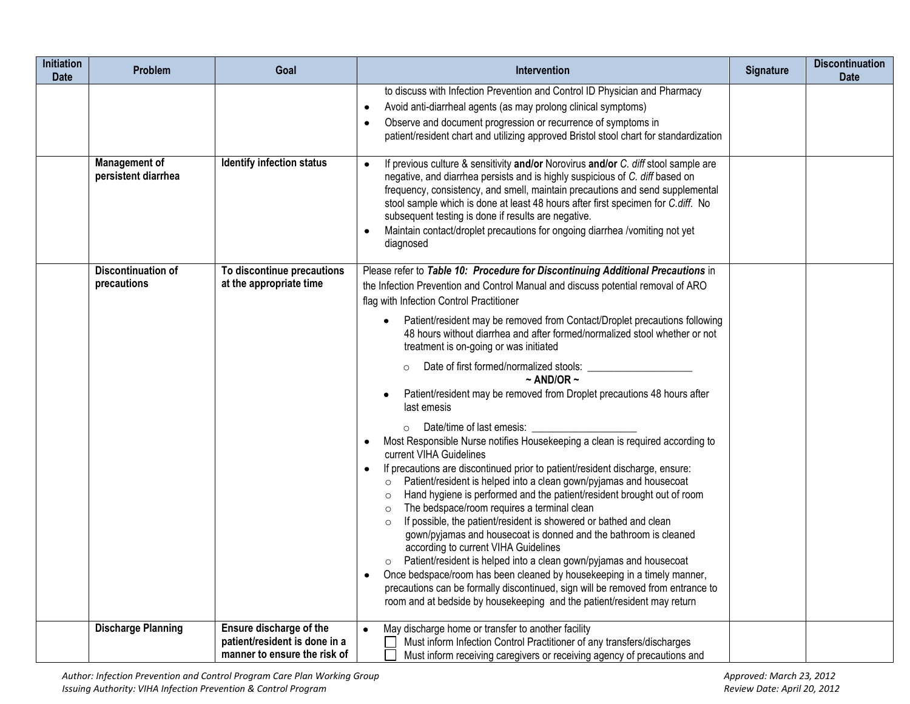| <b>Initiation</b><br><b>Date</b> | Problem                                     | Goal                                                                                     | Intervention                                                                                                                                                                                                                                                                                                                                                                                                                                                                                             | Signature | <b>Discontinuation</b><br><b>Date</b> |
|----------------------------------|---------------------------------------------|------------------------------------------------------------------------------------------|----------------------------------------------------------------------------------------------------------------------------------------------------------------------------------------------------------------------------------------------------------------------------------------------------------------------------------------------------------------------------------------------------------------------------------------------------------------------------------------------------------|-----------|---------------------------------------|
|                                  |                                             |                                                                                          | to discuss with Infection Prevention and Control ID Physician and Pharmacy<br>Avoid anti-diarrheal agents (as may prolong clinical symptoms)<br>$\bullet$<br>Observe and document progression or recurrence of symptoms in<br>patient/resident chart and utilizing approved Bristol stool chart for standardization                                                                                                                                                                                      |           |                                       |
|                                  | <b>Management of</b><br>persistent diarrhea | <b>Identify infection status</b>                                                         | If previous culture & sensitivity and/or Norovirus and/or C. diff stool sample are<br>$\bullet$<br>negative, and diarrhea persists and is highly suspicious of C. diff based on<br>frequency, consistency, and smell, maintain precautions and send supplemental<br>stool sample which is done at least 48 hours after first specimen for C.diff. No<br>subsequent testing is done if results are negative.<br>Maintain contact/droplet precautions for ongoing diarrhea /vomiting not yet<br>diagnosed  |           |                                       |
|                                  | <b>Discontinuation of</b><br>precautions    | To discontinue precautions<br>at the appropriate time                                    | Please refer to Table 10: Procedure for Discontinuing Additional Precautions in<br>the Infection Prevention and Control Manual and discuss potential removal of ARO<br>flag with Infection Control Practitioner                                                                                                                                                                                                                                                                                          |           |                                       |
|                                  |                                             |                                                                                          | Patient/resident may be removed from Contact/Droplet precautions following<br>48 hours without diarrhea and after formed/normalized stool whether or not<br>treatment is on-going or was initiated                                                                                                                                                                                                                                                                                                       |           |                                       |
|                                  |                                             |                                                                                          | Date of first formed/normalized stools:<br>$~\sim$ AND/OR $~\sim$<br>Patient/resident may be removed from Droplet precautions 48 hours after<br>last emesis                                                                                                                                                                                                                                                                                                                                              |           |                                       |
|                                  |                                             |                                                                                          | Most Responsible Nurse notifies Housekeeping a clean is required according to<br>current VIHA Guidelines                                                                                                                                                                                                                                                                                                                                                                                                 |           |                                       |
|                                  |                                             |                                                                                          | If precautions are discontinued prior to patient/resident discharge, ensure:<br>Patient/resident is helped into a clean gown/pyjamas and housecoat<br>$\circ$<br>Hand hygiene is performed and the patient/resident brought out of room<br>$\circ$<br>The bedspace/room requires a terminal clean<br>$\circ$<br>If possible, the patient/resident is showered or bathed and clean<br>$\circ$<br>gown/pyjamas and housecoat is donned and the bathroom is cleaned<br>according to current VIHA Guidelines |           |                                       |
|                                  |                                             |                                                                                          | Patient/resident is helped into a clean gown/pyjamas and housecoat<br>$\circ$<br>Once bedspace/room has been cleaned by housekeeping in a timely manner,<br>precautions can be formally discontinued, sign will be removed from entrance to<br>room and at bedside by housekeeping and the patient/resident may return                                                                                                                                                                                   |           |                                       |
|                                  | <b>Discharge Planning</b>                   | Ensure discharge of the<br>patient/resident is done in a<br>manner to ensure the risk of | May discharge home or transfer to another facility<br>Must inform Infection Control Practitioner of any transfers/discharges<br>Must inform receiving caregivers or receiving agency of precautions and                                                                                                                                                                                                                                                                                                  |           |                                       |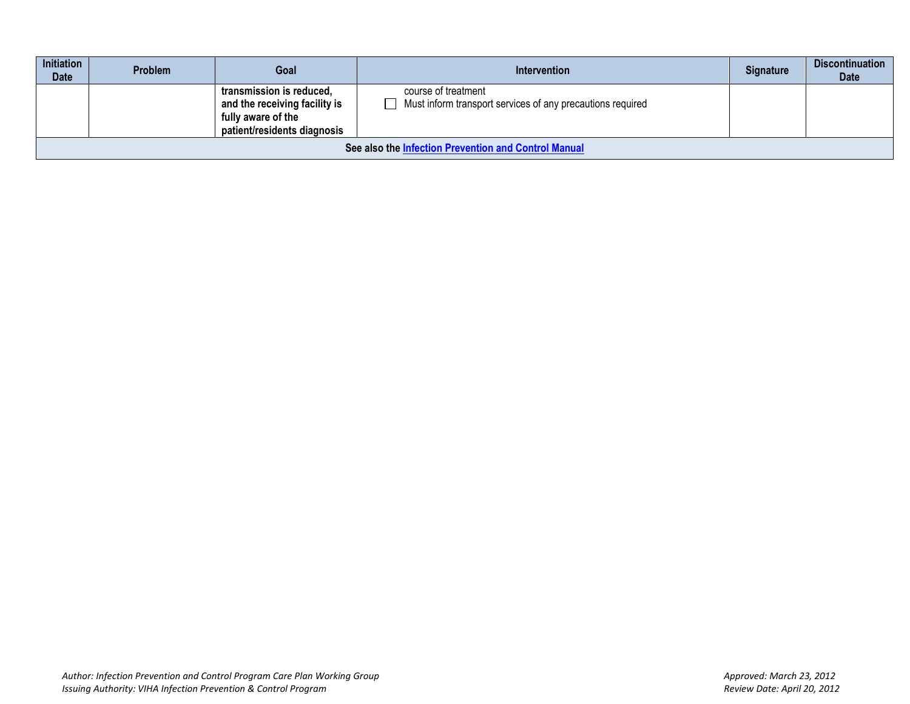| <b>Initiation</b><br><b>Date</b>                     | <b>Problem</b>                                                                                                                                                                                      | Goal | Intervention | Signature | <b>Discontinuation</b><br><b>Date</b> |
|------------------------------------------------------|-----------------------------------------------------------------------------------------------------------------------------------------------------------------------------------------------------|------|--------------|-----------|---------------------------------------|
|                                                      | transmission is reduced,<br>course of treatment<br>Must inform transport services of any precautions required<br>and the receiving facility is<br>fully aware of the<br>patient/residents diagnosis |      |              |           |                                       |
| See also the Infection Prevention and Control Manual |                                                                                                                                                                                                     |      |              |           |                                       |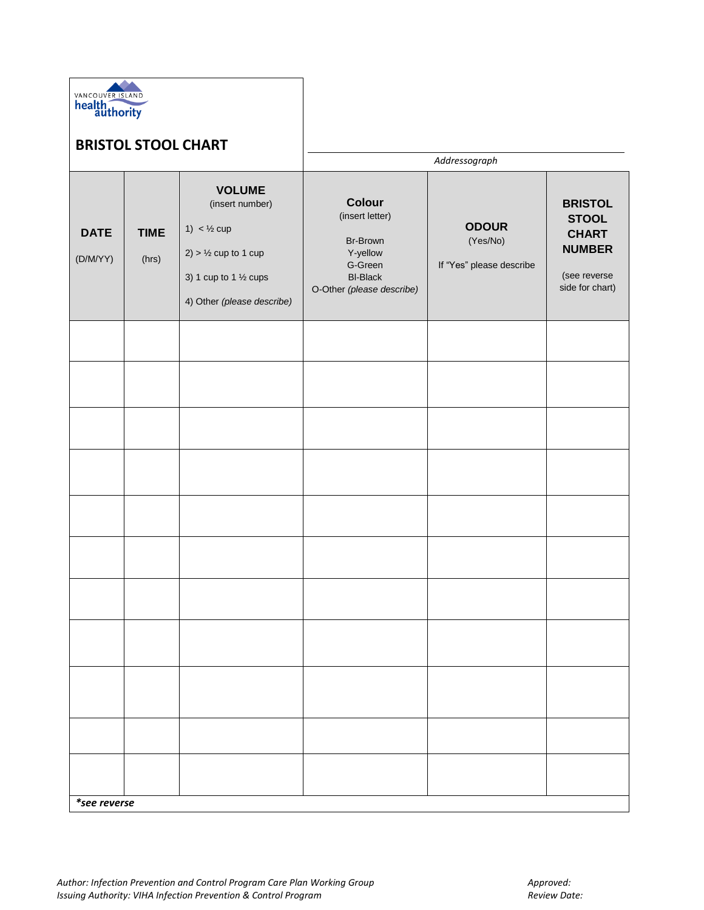

## **BRISTOL STOOL CHART**

|                         |                      | Addressograph                                                                                                                                             |                                                                                                              |                                                      |                                                                                                    |
|-------------------------|----------------------|-----------------------------------------------------------------------------------------------------------------------------------------------------------|--------------------------------------------------------------------------------------------------------------|------------------------------------------------------|----------------------------------------------------------------------------------------------------|
| <b>DATE</b><br>(D/M/YY) | <b>TIME</b><br>(hrs) | <b>VOLUME</b><br>(insert number)<br>1) $<$ 1/2 cup<br>$2)$ > $\frac{1}{2}$ cup to 1 cup<br>3) 1 cup to 1 $\frac{1}{2}$ cups<br>4) Other (please describe) | Colour<br>(insert letter)<br>Br-Brown<br>Y-yellow<br>G-Green<br><b>BI-Black</b><br>O-Other (please describe) | <b>ODOUR</b><br>(Yes/No)<br>If "Yes" please describe | <b>BRISTOL</b><br><b>STOOL</b><br><b>CHART</b><br><b>NUMBER</b><br>(see reverse<br>side for chart) |
|                         |                      |                                                                                                                                                           |                                                                                                              |                                                      |                                                                                                    |
|                         |                      |                                                                                                                                                           |                                                                                                              |                                                      |                                                                                                    |
|                         |                      |                                                                                                                                                           |                                                                                                              |                                                      |                                                                                                    |
|                         |                      |                                                                                                                                                           |                                                                                                              |                                                      |                                                                                                    |
|                         |                      |                                                                                                                                                           |                                                                                                              |                                                      |                                                                                                    |
|                         |                      |                                                                                                                                                           |                                                                                                              |                                                      |                                                                                                    |
|                         |                      |                                                                                                                                                           |                                                                                                              |                                                      |                                                                                                    |
|                         |                      |                                                                                                                                                           |                                                                                                              |                                                      |                                                                                                    |
|                         |                      |                                                                                                                                                           |                                                                                                              |                                                      |                                                                                                    |
|                         |                      |                                                                                                                                                           |                                                                                                              |                                                      |                                                                                                    |
|                         |                      |                                                                                                                                                           |                                                                                                              |                                                      |                                                                                                    |
|                         | *see reverse         |                                                                                                                                                           |                                                                                                              |                                                      |                                                                                                    |